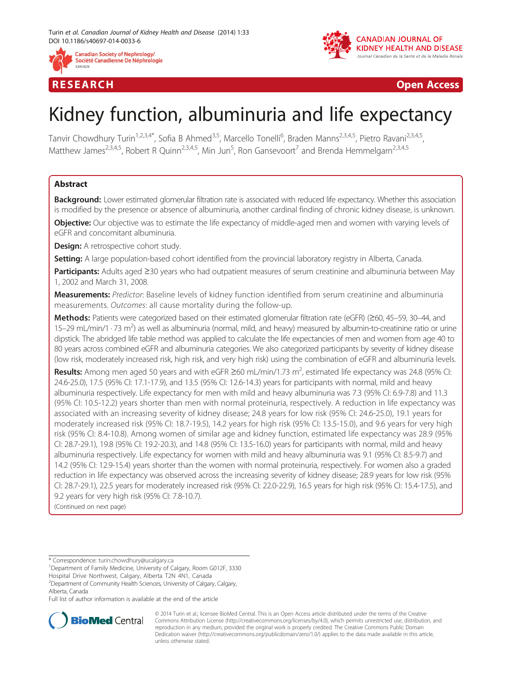

## R E S EAR CH Open Access



# Kidney function, albuminuria and life expectancy

Tanvir Chowdhury Turin<sup>1,2,3,4\*</sup>, Sofia B Ahmed<sup>3,5</sup>, Marcello Tonelli<sup>6</sup>, Braden Manns<sup>2,3,4,5</sup>, Pietro Ravani<sup>2,3,4,5</sup>, Matthew James<sup>2,3,4,5</sup>, Robert R Quinn<sup>2,3,4,5</sup>, Min Jun<sup>5</sup>, Ron Gansevoort<sup>7</sup> and Brenda Hemmelgarn<sup>2,3,4,5</sup>

## Abstract

Background: Lower estimated glomerular filtration rate is associated with reduced life expectancy. Whether this association is modified by the presence or absence of albuminuria, another cardinal finding of chronic kidney disease, is unknown.

Objective: Our objective was to estimate the life expectancy of middle-aged men and women with varying levels of eGFR and concomitant albuminuria.

**Design:** A retrospective cohort study.

Setting: A large population-based cohort identified from the provincial laboratory registry in Alberta, Canada.

Participants: Adults aged ≥30 years who had outpatient measures of serum creatinine and albuminuria between May 1, 2002 and March 31, 2008.

Measurements: Predictor: Baseline levels of kidney function identified from serum creatinine and albuminuria measurements. Outcomes: all cause mortality during the follow-up.

Methods: Patients were categorized based on their estimated glomerular filtration rate (eGFR) (≥60, 45–59, 30–44, and 15-29 mL/min/1 · 73 m<sup>2</sup>) as well as albuminuria (normal, mild, and heavy) measured by albumin-to-creatinine ratio or urine dipstick. The abridged life table method was applied to calculate the life expectancies of men and women from age 40 to 80 years across combined eGFR and albuminuria categories. We also categorized participants by severity of kidney disease (low risk, moderately increased risk, high risk, and very high risk) using the combination of eGFR and albuminuria levels.

Results: Among men aged 50 years and with eGFR ≥60 mL/min/1.73 m<sup>2</sup>, estimated life expectancy was 24.8 (95% CI: 24.6-25.0), 17.5 (95% CI: 17.1-17.9), and 13.5 (95% CI: 12.6-14.3) years for participants with normal, mild and heavy albuminuria respectively. Life expectancy for men with mild and heavy albuminuria was 7.3 (95% CI: 6.9-7.8) and 11.3 (95% CI: 10.5-12.2) years shorter than men with normal proteinuria, respectively. A reduction in life expectancy was associated with an increasing severity of kidney disease; 24.8 years for low risk (95% CI: 24.6-25.0), 19.1 years for moderately increased risk (95% CI: 18.7-19.5), 14.2 years for high risk (95% CI: 13.5-15.0), and 9.6 years for very high risk (95% CI: 8.4-10.8). Among women of similar age and kidney function, estimated life expectancy was 28.9 (95% CI: 28.7-29.1), 19.8 (95% CI: 19.2-20.3), and 14.8 (95% CI: 13.5-16.0) years for participants with normal, mild and heavy albuminuria respectively. Life expectancy for women with mild and heavy albuminuria was 9.1 (95% CI: 8.5-9.7) and 14.2 (95% CI: 12.9-15.4) years shorter than the women with normal proteinuria, respectively. For women also a graded reduction in life expectancy was observed across the increasing severity of kidney disease; 28.9 years for low risk (95% CI: 28.7-29.1), 22.5 years for moderately increased risk (95% CI: 22.0-22.9), 16.5 years for high risk (95% CI: 15.4-17.5), and 9.2 years for very high risk (95% CI: 7.8-10.7).

(Continued on next page)

<sup>1</sup>Department of Family Medicine, University of Calgary, Room G012F, 3330

Hospital Drive Northwest, Calgary, Alberta T2N 4N1, Canada

2 Department of Community Health Sciences, University of Calgary, Calgary, Alberta, Canada

Full list of author information is available at the end of the article



© 2014 Turin et al.; licensee BioMed Central. This is an Open Access article distributed under the terms of the Creative Commons Attribution License [\(http://creativecommons.org/licenses/by/4.0\)](http://creativecommons.org/licenses/by/4.0), which permits unrestricted use, distribution, and reproduction in any medium, provided the original work is properly credited. The Creative Commons Public Domain Dedication waiver [\(http://creativecommons.org/publicdomain/zero/1.0/](http://creativecommons.org/publicdomain/zero/1.0/)) applies to the data made available in this article, unless otherwise stated.

<sup>\*</sup> Correspondence: [turin.chowdhury@ucalgary.ca](mailto:turin.chowdhury@ucalgary.ca) <sup>1</sup>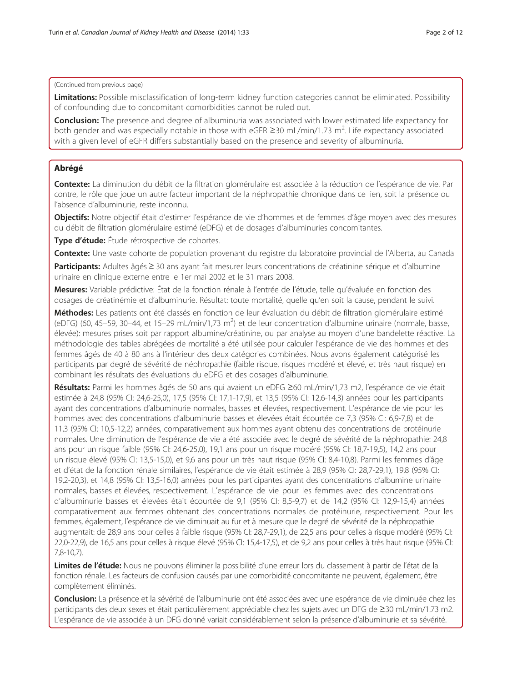## (Continued from previous page)

Limitations: Possible misclassification of long-term kidney function categories cannot be eliminated. Possibility of confounding due to concomitant comorbidities cannot be ruled out.

**Conclusion:** The presence and degree of albuminuria was associated with lower estimated life expectancy for both gender and was especially notable in those with eGFR ≥30 mL/min/1.73 m<sup>2</sup>. Life expectancy associated with a given level of eGFR differs substantially based on the presence and severity of albuminuria.

## Abrégé

Contexte: La diminution du débit de la filtration glomérulaire est associée à la réduction de l'espérance de vie. Par contre, le rôle que joue un autre facteur important de la néphropathie chronique dans ce lien, soit la présence ou l'absence d'albuminurie, reste inconnu.

Objectifs: Notre objectif était d'estimer l'espérance de vie d'hommes et de femmes d'âge moyen avec des mesures du débit de filtration glomérulaire estimé (eDFG) et de dosages d'albuminuries concomitantes.

Type d'étude: Étude rétrospective de cohortes.

Contexte: Une vaste cohorte de population provenant du registre du laboratoire provincial de l'Alberta, au Canada

Participants: Adultes âgés ≥ 30 ans ayant fait mesurer leurs concentrations de créatinine sérique et d'albumine urinaire en clinique externe entre le 1er mai 2002 et le 31 mars 2008.

Mesures: Variable prédictive: État de la fonction rénale à l'entrée de l'étude, telle qu'évaluée en fonction des dosages de créatinémie et d'albuminurie. Résultat: toute mortalité, quelle qu'en soit la cause, pendant le suivi.

Méthodes: Les patients ont été classés en fonction de leur évaluation du débit de filtration glomérulaire estimé (eDFG) (60, 45-59, 30-44, et 15-29 mL/min/1,73 m<sup>2</sup>) et de leur concentration d'albumine urinaire (normale, basse, élevée): mesures prises soit par rapport albumine/créatinine, ou par analyse au moyen d'une bandelette réactive. La méthodologie des tables abrégées de mortalité a été utilisée pour calculer l'espérance de vie des hommes et des femmes âgés de 40 à 80 ans à l'intérieur des deux catégories combinées. Nous avons également catégorisé les participants par degré de sévérité de néphropathie (faible risque, risques modéré et élevé, et très haut risque) en combinant les résultats des évaluations du eDFG et des dosages d'albuminurie.

Résultats: Parmi les hommes âgés de 50 ans qui avaient un eDFG ≥60 mL/min/1,73 m2, l'espérance de vie était estimée à 24,8 (95% CI: 24,6-25,0), 17,5 (95% CI: 17,1-17,9), et 13,5 (95% CI: 12,6-14,3) années pour les participants ayant des concentrations d'albuminurie normales, basses et élevées, respectivement. L'espérance de vie pour les hommes avec des concentrations d'albuminurie basses et élevées était écourtée de 7,3 (95% CI: 6,9-7,8) et de 11,3 (95% CI: 10,5-12,2) années, comparativement aux hommes ayant obtenu des concentrations de protéinurie normales. Une diminution de l'espérance de vie a été associée avec le degré de sévérité de la néphropathie: 24,8 ans pour un risque faible (95% CI: 24,6-25,0), 19,1 ans pour un risque modéré (95% CI: 18,7-19,5), 14,2 ans pour un risque élevé (95% CI: 13,5-15,0), et 9,6 ans pour un très haut risque (95% CI: 8,4-10,8). Parmi les femmes d'âge et d'état de la fonction rénale similaires, l'espérance de vie était estimée à 28,9 (95% CI: 28,7-29,1), 19,8 (95% CI: 19,2-20,3), et 14,8 (95% CI: 13,5-16,0) années pour les participantes ayant des concentrations d'albumine urinaire normales, basses et élevées, respectivement. L'espérance de vie pour les femmes avec des concentrations d'albuminurie basses et élevées était écourtée de 9,1 (95% CI: 8,5-9,7) et de 14,2 (95% CI: 12,9-15,4) années comparativement aux femmes obtenant des concentrations normales de protéinurie, respectivement. Pour les femmes, également, l'espérance de vie diminuait au fur et à mesure que le degré de sévérité de la néphropathie augmentait: de 28,9 ans pour celles à faible risque (95% CI: 28,7-29,1), de 22,5 ans pour celles à risque modéré (95% CI: 22,0-22,9), de 16,5 ans pour celles à risque élevé (95% CI: 15,4-17,5), et de 9,2 ans pour celles à très haut risque (95% CI: 7,8-10,7).

Limites de l'étude: Nous ne pouvons éliminer la possibilité d'une erreur lors du classement à partir de l'état de la fonction rénale. Les facteurs de confusion causés par une comorbidité concomitante ne peuvent, également, être complètement éliminés.

Conclusion: La présence et la sévérité de l'albuminurie ont été associées avec une espérance de vie diminuée chez les participants des deux sexes et était particulièrement appréciable chez les sujets avec un DFG de ≥30 mL/min/1.73 m2. L'espérance de vie associée à un DFG donné variait considérablement selon la présence d'albuminurie et sa sévérité.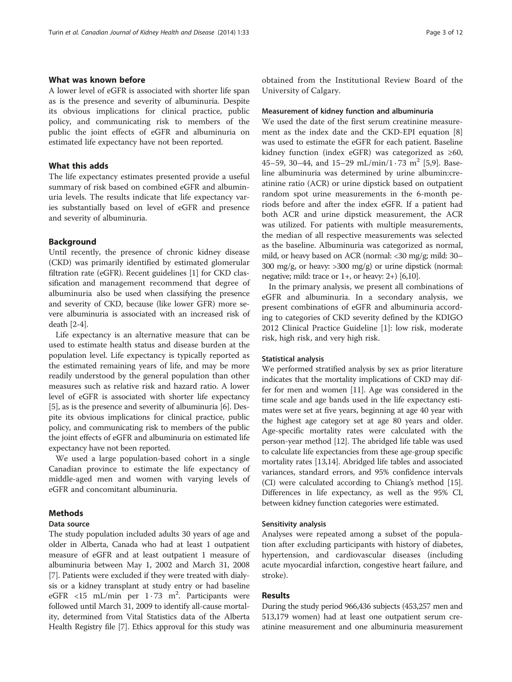#### What was known before

A lower level of eGFR is associated with shorter life span as is the presence and severity of albuminuria. Despite its obvious implications for clinical practice, public policy, and communicating risk to members of the public the joint effects of eGFR and albuminuria on estimated life expectancy have not been reported.

### What this adds

The life expectancy estimates presented provide a useful summary of risk based on combined eGFR and albuminuria levels. The results indicate that life expectancy varies substantially based on level of eGFR and presence and severity of albuminuria.

## Background

Until recently, the presence of chronic kidney disease (CKD) was primarily identified by estimated glomerular filtration rate (eGFR). Recent guidelines [\[1](#page-10-0)] for CKD classification and management recommend that degree of albuminuria also be used when classifying the presence and severity of CKD, because (like lower GFR) more severe albuminuria is associated with an increased risk of death [\[2](#page-10-0)-[4\]](#page-10-0).

Life expectancy is an alternative measure that can be used to estimate health status and disease burden at the population level. Life expectancy is typically reported as the estimated remaining years of life, and may be more readily understood by the general population than other measures such as relative risk and hazard ratio. A lower level of eGFR is associated with shorter life expectancy [[5\]](#page-10-0), as is the presence and severity of albuminuria [\[6](#page-10-0)]. Despite its obvious implications for clinical practice, public policy, and communicating risk to members of the public the joint effects of eGFR and albuminuria on estimated life expectancy have not been reported.

We used a large population-based cohort in a single Canadian province to estimate the life expectancy of middle-aged men and women with varying levels of eGFR and concomitant albuminuria.

### Methods

## Data source

The study population included adults 30 years of age and older in Alberta, Canada who had at least 1 outpatient measure of eGFR and at least outpatient 1 measure of albuminuria between May 1, 2002 and March 31, 2008 [[7\]](#page-11-0). Patients were excluded if they were treated with dialysis or a kidney transplant at study entry or had baseline eGFR <15 mL/min per  $1.73$  m<sup>2</sup>. Participants were followed until March 31, 2009 to identify all-cause mortality, determined from Vital Statistics data of the Alberta Health Registry file [\[7](#page-11-0)]. Ethics approval for this study was obtained from the Institutional Review Board of the University of Calgary.

#### Measurement of kidney function and albuminuria

We used the date of the first serum creatinine measurement as the index date and the CKD-EPI equation [\[8](#page-11-0)] was used to estimate the eGFR for each patient. Baseline kidney function (index eGFR) was categorized as  $\geq 60$ , 45–5[9](#page-11-0), 30–44, and 15–29 mL/min/1 $\cdot$ 73 m<sup>2</sup> [\[5](#page-10-0),9]. Baseline albuminuria was determined by urine albumin:creatinine ratio (ACR) or urine dipstick based on outpatient random spot urine measurements in the 6-month periods before and after the index eGFR. If a patient had both ACR and urine dipstick measurement, the ACR was utilized. For patients with multiple measurements, the median of all respective measurements was selected as the baseline. Albuminuria was categorized as normal, mild, or heavy based on ACR (normal: <30 mg/g; mild: 30– 300 mg/g, or heavy: >300 mg/g) or urine dipstick (normal: negative; mild: trace or  $1+$ , or heavy:  $2+$ ) [\[6,](#page-10-0)[10](#page-11-0)].

In the primary analysis, we present all combinations of eGFR and albuminuria. In a secondary analysis, we present combinations of eGFR and albuminuria according to categories of CKD severity defined by the KDIGO 2012 Clinical Practice Guideline [\[1](#page-10-0)]: low risk, moderate risk, high risk, and very high risk.

#### Statistical analysis

We performed stratified analysis by sex as prior literature indicates that the mortality implications of CKD may differ for men and women [[11](#page-11-0)]. Age was considered in the time scale and age bands used in the life expectancy estimates were set at five years, beginning at age 40 year with the highest age category set at age 80 years and older. Age-specific mortality rates were calculated with the person-year method [[12](#page-11-0)]. The abridged life table was used to calculate life expectancies from these age-group specific mortality rates [\[13,14\]](#page-11-0). Abridged life tables and associated variances, standard errors, and 95% confidence intervals (CI) were calculated according to Chiang's method [[15](#page-11-0)]. Differences in life expectancy, as well as the 95% CI, between kidney function categories were estimated.

#### Sensitivity analysis

Analyses were repeated among a subset of the population after excluding participants with history of diabetes, hypertension, and cardiovascular diseases (including acute myocardial infarction, congestive heart failure, and stroke).

## Results

During the study period 966,436 subjects (453,257 men and 513,179 women) had at least one outpatient serum creatinine measurement and one albuminuria measurement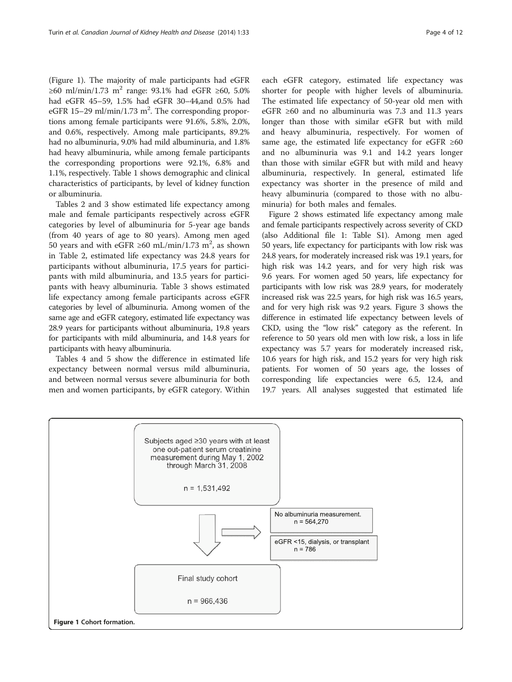(Figure 1). The majority of male participants had eGFR  $≥60$  ml/min/1.73 m<sup>2</sup> range: 93.1% had eGFR ≥60, 5.0% had eGFR 45–59, 1.5% had eGFR 30–44,and 0.5% had eGFR 15-29 ml/min/1.73 m<sup>2</sup>. The corresponding proportions among female participants were 91.6%, 5.8%, 2.0%, and 0.6%, respectively. Among male participants, 89.2% had no albuminuria, 9.0% had mild albuminuria, and 1.8% had heavy albuminuria, while among female participants the corresponding proportions were 92.1%, 6.8% and 1.1%, respectively. Table [1](#page-4-0) shows demographic and clinical characteristics of participants, by level of kidney function or albuminuria.

Tables [2](#page-5-0) and [3](#page-6-0) show estimated life expectancy among male and female participants respectively across eGFR categories by level of albuminuria for 5-year age bands (from 40 years of age to 80 years). Among men aged 50 years and with eGFR ≥60 mL/min/1.73 m<sup>2</sup>, as shown in Table [2,](#page-5-0) estimated life expectancy was 24.8 years for participants without albuminuria, 17.5 years for participants with mild albuminuria, and 13.5 years for participants with heavy albuminuria. Table [3](#page-6-0) shows estimated life expectancy among female participants across eGFR categories by level of albuminuria. Among women of the same age and eGFR category, estimated life expectancy was 28.9 years for participants without albuminuria, 19.8 years for participants with mild albuminuria, and 14.8 years for participants with heavy albuminuria.

Tables [4](#page-7-0) and [5](#page-7-0) show the difference in estimated life expectancy between normal versus mild albuminuria, and between normal versus severe albuminuria for both men and women participants, by eGFR category. Within

each eGFR category, estimated life expectancy was shorter for people with higher levels of albuminuria. The estimated life expectancy of 50-year old men with eGFR ≥60 and no albuminuria was 7.3 and 11.3 years longer than those with similar eGFR but with mild and heavy albuminuria, respectively. For women of same age, the estimated life expectancy for eGFR  $\geq 60$ and no albuminuria was 9.1 and 14.2 years longer than those with similar eGFR but with mild and heavy albuminuria, respectively. In general, estimated life expectancy was shorter in the presence of mild and heavy albuminuria (compared to those with no albuminuria) for both males and females.

Figure [2](#page-8-0) shows estimated life expectancy among male and female participants respectively across severity of CKD (also Additional file [1](#page-10-0): Table S1). Among men aged 50 years, life expectancy for participants with low risk was 24.8 years, for moderately increased risk was 19.1 years, for high risk was 14.2 years, and for very high risk was 9.6 years. For women aged 50 years, life expectancy for participants with low risk was 28.9 years, for moderately increased risk was 22.5 years, for high risk was 16.5 years, and for very high risk was 9.2 years. Figure [3](#page-9-0) shows the difference in estimated life expectancy between levels of CKD, using the "low risk" category as the referent. In reference to 50 years old men with low risk, a loss in life expectancy was 5.7 years for moderately increased risk, 10.6 years for high risk, and 15.2 years for very high risk patients. For women of 50 years age, the losses of corresponding life expectancies were 6.5, 12.4, and 19.7 years. All analyses suggested that estimated life

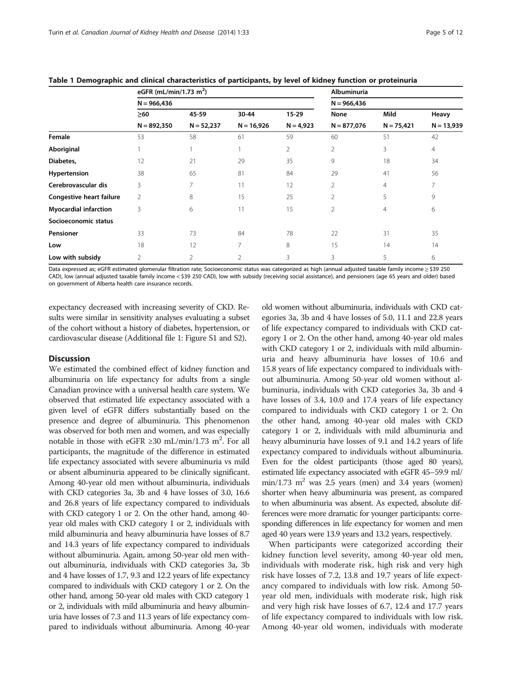|                              | eGFR (mL/min/1.73 m <sup>2</sup> ) |                |                | <b>Albuminuria</b> |                |                |                |  |
|------------------------------|------------------------------------|----------------|----------------|--------------------|----------------|----------------|----------------|--|
|                              | $N = 966,436$                      |                |                | $N = 966,436$      |                |                |                |  |
|                              | $\geq 60$                          | 45-59          | 30-44          | 15-29              | None           | Mild           | Heavy          |  |
|                              | $N = 892,350$                      | $N = 52,237$   | $N = 16,926$   | $N = 4,923$        | $N = 877,076$  | $N = 75,421$   | $N = 13,939$   |  |
| Female                       | 53                                 | 58             | 61             | 59                 | 60             | 51             | 42             |  |
| Aboriginal                   |                                    |                |                | $\overline{2}$     | $\overline{2}$ | 3              | $\overline{4}$ |  |
| Diabetes,                    | 12                                 | 21             | 29             | 35                 | 9              | 18             | 34             |  |
| Hypertension                 | 38                                 | 65             | 81             | 84                 | 29             | 41             | 56             |  |
| Cerebrovascular dis          | 3                                  | 7              | 11             | 12                 | $\overline{2}$ | 4              | 7              |  |
| Congestive heart failure     | $\overline{2}$                     | 8              | 15             | 25                 | $\overline{2}$ | 5              | 9              |  |
| <b>Myocardial infarction</b> | 3                                  | 6              | 11             | 15                 | 2              | $\overline{4}$ | 6              |  |
| Socioeconomic status         |                                    |                |                |                    |                |                |                |  |
| Pensioner                    | 33                                 | 73             | 84             | 78                 | 22             | 31             | 35             |  |
| Low                          | 18                                 | 12             | $\overline{7}$ | 8                  | 15             | 14             | 14             |  |
| Low with subsidy             | $\overline{2}$                     | $\overline{2}$ | $\overline{2}$ | 3                  | 3              | 5              | 6              |  |

<span id="page-4-0"></span>Table 1 Demographic and clinical characteristics of participants, by level of kidney function or proteinuria

Data expressed as; eGFR estimated glomerular filtration rate; Socioeconomic status was categorized as high (annual adjusted taxable family income ≥ \$39 250 CAD), low (annual adjusted taxable family income < \$39 250 CAD), low with subsidy (receiving social assistance), and pensioners (age 65 years and older) based on government of Alberta health care insurance records.

expectancy decreased with increasing severity of CKD. Results were similar in sensitivity analyses evaluating a subset of the cohort without a history of diabetes, hypertension, or cardiovascular disease (Additional file [1:](#page-10-0) Figure S1 and S2).

#### **Discussion**

We estimated the combined effect of kidney function and albuminuria on life expectancy for adults from a single Canadian province with a universal health care system. We observed that estimated life expectancy associated with a given level of eGFR differs substantially based on the presence and degree of albuminuria. This phenomenon was observed for both men and women, and was especially notable in those with eGFR  $\geq$ 30 mL/min/1.73 m<sup>2</sup>. For all participants, the magnitude of the difference in estimated life expectancy associated with severe albuminuria vs mild or absent albuminuria appeared to be clinically significant. Among 40-year old men without albuminuria, individuals with CKD categories 3a, 3b and 4 have losses of 3.0, 16.6 and 26.8 years of life expectancy compared to individuals with CKD category 1 or 2. On the other hand, among 40 year old males with CKD category 1 or 2, individuals with mild albuminuria and heavy albuminuria have losses of 8.7 and 14.3 years of life expectancy compared to individuals without albuminuria. Again, among 50-year old men without albuminuria, individuals with CKD categories 3a, 3b and 4 have losses of 1.7, 9.3 and 12.2 years of life expectancy compared to individuals with CKD category 1 or 2. On the other hand, among 50-year old males with CKD category 1 or 2, individuals with mild albuminuria and heavy albuminuria have losses of 7.3 and 11.3 years of life expectancy compared to individuals without albuminuria. Among 40-year

old women without albuminuria, individuals with CKD categories 3a, 3b and 4 have losses of 5.0, 11.1 and 22.8 years of life expectancy compared to individuals with CKD category 1 or 2. On the other hand, among 40-year old males with CKD category 1 or 2, individuals with mild albuminuria and heavy albuminuria have losses of 10.6 and 15.8 years of life expectancy compared to individuals without albuminuria. Among 50-year old women without albuminuria, individuals with CKD categories 3a, 3b and 4 have losses of 3.4, 10.0 and 17.4 years of life expectancy compared to individuals with CKD category 1 or 2. On the other hand, among 40-year old males with CKD category 1 or 2, individuals with mild albuminuria and heavy albuminuria have losses of 9.1 and 14.2 years of life expectancy compared to individuals without albuminuria. Even for the oldest participants (those aged 80 years), estimated life expectancy associated with eGFR 45–59.9 ml/  $min/1.73$  m<sup>2</sup> was 2.5 years (men) and 3.4 years (women) shorter when heavy albuminuria was present, as compared to when albuminuria was absent. As expected, absolute differences were more dramatic for younger participants: corresponding differences in life expectancy for women and men aged 40 years were 13.9 years and 13.2 years, respectively.

When participants were categorized according their kidney function level severity, among 40-year old men, individuals with moderate risk, high risk and very high risk have losses of 7.2, 13.8 and 19.7 years of life expectancy compared to individuals with low risk. Among 50 year old men, individuals with moderate risk, high risk and very high risk have losses of 6.7, 12.4 and 17.7 years of life expectancy compared to individuals with low risk. Among 40-year old women, individuals with moderate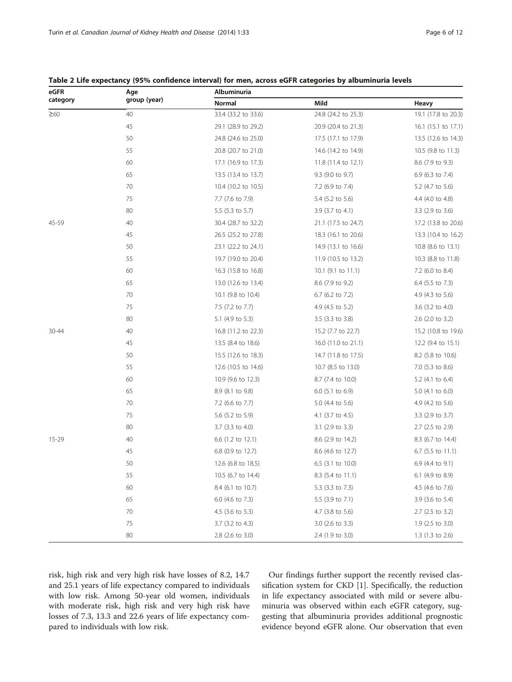| eGFR      | Age          | <b>Albuminuria</b>           |                     |                             |  |  |  |  |  |
|-----------|--------------|------------------------------|---------------------|-----------------------------|--|--|--|--|--|
| category  | group (year) | Normal                       | Mild                | Heavy                       |  |  |  |  |  |
| $\geq 60$ | 40           | 33.4 (33.2 to 33.6)          | 24.8 (24.2 to 25.3) | 19.1 (17.8 to 20.3)         |  |  |  |  |  |
|           | 45           | 29.1 (28.9 to 29.2)          | 20.9 (20.4 to 21.3) | 16.1 (15.1 to 17.1)         |  |  |  |  |  |
|           | 50           | 24.8 (24.6 to 25.0)          | 17.5 (17.1 to 17.9) | 13.5 (12.6 to 14.3)         |  |  |  |  |  |
|           | 55           | 20.8 (20.7 to 21.0)          | 14.6 (14.2 to 14.9) | 10.5 (9.8 to 11.3)          |  |  |  |  |  |
|           | 60           | 17.1 (16.9 to 17.3)          | 11.8 (11.4 to 12.1) | 8.6 (7.9 to 9.3)            |  |  |  |  |  |
|           | 65           | 13.5 (13.4 to 13.7)          | 9.3 (9.0 to 9.7)    | 6.9 (6.3 to 7.4)            |  |  |  |  |  |
|           | 70           | 10.4 (10.2 to 10.5)          | 7.2 (6.9 to 7.4)    | 5.2 (4.7 to 5.6)            |  |  |  |  |  |
|           | 75           | 7.7 (7.6 to 7.9)             | 5.4 (5.2 to 5.6)    | 4.4 (4.0 to 4.8)            |  |  |  |  |  |
|           | 80           | 5.5 (5.3 to 5.7)             | 3.9 (3.7 to 4.1)    | 3.3 (2.9 to 3.6)            |  |  |  |  |  |
| 45-59     | 40           | 30.4 (28.7 to 32.2)          | 21.1 (17.5 to 24.7) | 17.2 (13.8 to 20.6)         |  |  |  |  |  |
|           | 45           | 26.5 (25.2 to 27.8)          | 18.3 (16.1 to 20.6) | 13.3 (10.4 to 16.2)         |  |  |  |  |  |
|           | 50           | 23.1 (22.2 to 24.1)          | 14.9 (13.1 to 16.6) | 10.8 (8.6 to 13.1)          |  |  |  |  |  |
|           | 55           | 19.7 (19.0 to 20.4)          | 11.9 (10.5 to 13.2) | 10.3 (8.8 to 11.8)          |  |  |  |  |  |
|           | 60           | 16.3 (15.8 to 16.8)          | 10.1 (9.1 to 11.1)  | 7.2 (6.0 to 8.4)            |  |  |  |  |  |
|           | 65           | 13.0 (12.6 to 13.4)          | 8.6 (7.9 to 9.2)    | 6.4 (5.5 to 7.3)            |  |  |  |  |  |
|           | 70           | 10.1 (9.8 to 10.4)           | 6.7 (6.2 to 7.2)    | 4.9 (4.3 to 5.6)            |  |  |  |  |  |
|           | 75           | 7.5 (7.2 to 7.7)             | 4.9 (4.5 to 5.2)    | 3.6 (3.2 to 4.0)            |  |  |  |  |  |
|           | 80           | 5.1 (4.9 to 5.3)             | 3.5 (3.3 to 3.8)    | 2.6 (2.0 to 3.2)            |  |  |  |  |  |
| 30-44     | 40           | 16.8 (11.2 to 22.3)          | 15.2 (7.7 to 22.7)  | 15.2 (10.8 to 19.6)         |  |  |  |  |  |
|           | 45           | 13.5 (8.4 to 18.6)           | 16.0 (11.0 to 21.1) | 12.2 (9.4 to 15.1)          |  |  |  |  |  |
|           | 50           | 15.5 (12.6 to 18.3)          | 14.7 (11.8 to 17.5) | 8.2 (5.8 to 10.6)           |  |  |  |  |  |
|           | 55           | 12.6 (10.5 to 14.6)          | 10.7 (8.5 to 13.0)  | 7.0 (5.3 to 8.6)            |  |  |  |  |  |
|           | 60           | 10.9 (9.6 to 12.3)           | 8.7 (7.4 to 10.0)   | 5.2 (4.1 to 6.4)            |  |  |  |  |  |
|           | 65           | 8.9 (8.1 to 9.8)             | 6.0 (5.1 to 6.9)    | 5.0 (4.1 to 6.0)            |  |  |  |  |  |
|           | 70           | 7.2 (6.6 to 7.7)             | 5.0 (4.4 to 5.6)    | 4.9 (4.2 to 5.6)            |  |  |  |  |  |
|           | 75           | 5.6 (5.2 to 5.9)             | 4.1 (3.7 to 4.5)    | 3.3 (2.9 to 3.7)            |  |  |  |  |  |
|           | 80           | 3.7 (3.3 to 4.0)             | 3.1 (2.9 to 3.3)    | 2.7 (2.5 to 2.9)            |  |  |  |  |  |
| 15-29     | 40           | 6.6 $(1.2 \text{ to } 12.1)$ | 8.6 (2.9 to 14.2)   | 8.3 (6.7 to 14.4)           |  |  |  |  |  |
|           | 45           | 6.8 (0.9 to 12.7)            | 8.6 (4.6 to 12.7)   | 6.7 (5.5 to 11.1)           |  |  |  |  |  |
|           | 50           | 12.6 (6.8 to 18.5)           | 6.5 (3.1 to 10.0)   | 6.9 (4.4 to 9.1)            |  |  |  |  |  |
|           | 55           | 10.5 (6.7 to 14.4)           | 8.3 (5.4 to 11.1)   | 6.1 (4.9 to 8.9)            |  |  |  |  |  |
|           | 60           | 8.4 (6.1 to 10.7)            | 5.3 (3.3 to 7.3)    | 4.5 (4.6 to 7.6)            |  |  |  |  |  |
|           | 65           | 6.0 (4.6 to 7.3)             | 5.5 (3.9 to 7.1)    | 3.9 (3.6 to 5.4)            |  |  |  |  |  |
|           | 70           | 4.5 $(3.6 \text{ to } 5.3)$  | 4.7 (3.8 to 5.6)    | 2.7 (2.5 to 3.2)            |  |  |  |  |  |
|           | 75           | 3.7 (3.2 to 4.3)             | 3.0 (2.6 to 3.3)    | 1.9 (2.5 to 3.0)            |  |  |  |  |  |
|           | 80           | 2.8 (2.6 to 3.0)             | 2.4 (1.9 to 3.0)    | 1.3 $(1.3 \text{ to } 2.6)$ |  |  |  |  |  |

<span id="page-5-0"></span>

|  |  | Table 2 Life expectancy (95% confidence interval) for men, across eGFR categories by albuminuria levels |  |  |  |  |  |  |  |  |  |  |  |  |  |  |  |
|--|--|---------------------------------------------------------------------------------------------------------|--|--|--|--|--|--|--|--|--|--|--|--|--|--|--|
|--|--|---------------------------------------------------------------------------------------------------------|--|--|--|--|--|--|--|--|--|--|--|--|--|--|--|

risk, high risk and very high risk have losses of 8.2, 14.7 and 25.1 years of life expectancy compared to individuals with low risk. Among 50-year old women, individuals with moderate risk, high risk and very high risk have losses of 7.3, 13.3 and 22.6 years of life expectancy compared to individuals with low risk.

Our findings further support the recently revised classification system for CKD [\[1](#page-10-0)]. Specifically, the reduction in life expectancy associated with mild or severe albuminuria was observed within each eGFR category, suggesting that albuminuria provides additional prognostic evidence beyond eGFR alone. Our observation that even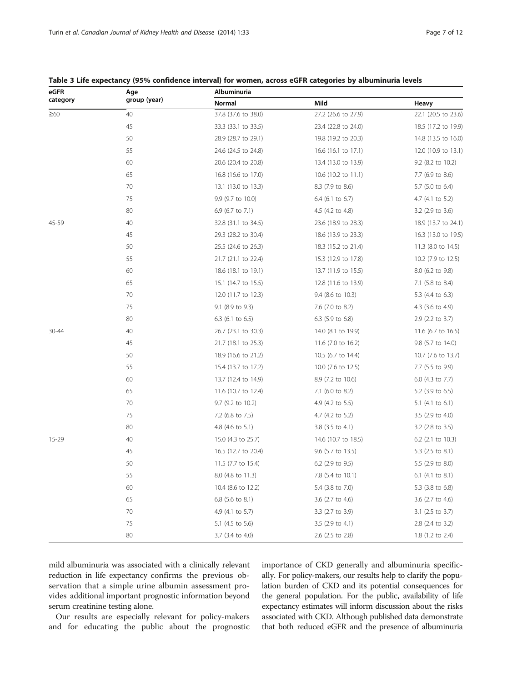| eGFR      | Age          | Albuminuria         |                     |                     |  |  |  |  |  |
|-----------|--------------|---------------------|---------------------|---------------------|--|--|--|--|--|
| category  | group (year) | Normal              | Mild                | Heavy               |  |  |  |  |  |
| $\geq 60$ | 40           | 37.8 (37.6 to 38.0) | 27.2 (26.6 to 27.9) | 22.1 (20.5 to 23.6) |  |  |  |  |  |
|           | 45           | 33.3 (33.1 to 33.5) | 23.4 (22.8 to 24.0) | 18.5 (17.2 to 19.9) |  |  |  |  |  |
|           | 50           | 28.9 (28.7 to 29.1) | 19.8 (19.2 to 20.3) | 14.8 (13.5 to 16.0) |  |  |  |  |  |
|           | 55           | 24.6 (24.5 to 24.8) | 16.6 (16.1 to 17.1) | 12.0 (10.9 to 13.1) |  |  |  |  |  |
|           | 60           | 20.6 (20.4 to 20.8) | 13.4 (13.0 to 13.9) | 9.2 (8.2 to 10.2)   |  |  |  |  |  |
|           | 65           | 16.8 (16.6 to 17.0) | 10.6 (10.2 to 11.1) | 7.7 (6.9 to 8.6)    |  |  |  |  |  |
|           | 70           | 13.1 (13.0 to 13.3) | 8.3 (7.9 to 8.6)    | 5.7 (5.0 to 6.4)    |  |  |  |  |  |
|           | 75           | 9.9 (9.7 to 10.0)   | $6.4$ (6.1 to 6.7)  | 4.7 (4.1 to 5.2)    |  |  |  |  |  |
|           | 80           | 6.9 (6.7 to 7.1)    | 4.5 (4.2 to 4.8)    | 3.2 (2.9 to 3.6)    |  |  |  |  |  |
| 45-59     | 40           | 32.8 (31.1 to 34.5) | 23.6 (18.9 to 28.3) | 18.9 (13.7 to 24.1) |  |  |  |  |  |
|           | 45           | 29.3 (28.2 to 30.4) | 18.6 (13.9 to 23.3) | 16.3 (13.0 to 19.5) |  |  |  |  |  |
|           | 50           | 25.5 (24.6 to 26.3) | 18.3 (15.2 to 21.4) | 11.3 (8.0 to 14.5)  |  |  |  |  |  |
|           | 55           | 21.7 (21.1 to 22.4) | 15.3 (12.9 to 17.8) | 10.2 (7.9 to 12.5)  |  |  |  |  |  |
|           | 60           | 18.6 (18.1 to 19.1) | 13.7 (11.9 to 15.5) | 8.0 (6.2 to 9.8)    |  |  |  |  |  |
|           | 65           | 15.1 (14.7 to 15.5) | 12.8 (11.6 to 13.9) | 7.1 (5.8 to 8.4)    |  |  |  |  |  |
|           | 70           | 12.0 (11.7 to 12.3) | 9.4 (8.6 to 10.3)   | 5.3 (4.4 to 6.3)    |  |  |  |  |  |
|           | 75           | 9.1 (8.9 to 9.3)    | 7.6 (7.0 to 8.2)    | 4.3 (3.6 to 4.9)    |  |  |  |  |  |
|           | 80           | $6.3$ (6.1 to 6.5)  | 6.3 (5.9 to 6.8)    | 2.9 (2.2 to 3.7)    |  |  |  |  |  |
| 30-44     | 40           | 26.7 (23.1 to 30.3) | 14.0 (8.1 to 19.9)  | 11.6 (6.7 to 16.5)  |  |  |  |  |  |
|           | 45           | 21.7 (18.1 to 25.3) | 11.6 (7.0 to 16.2)  | 9.8 (5.7 to 14.0)   |  |  |  |  |  |
|           | 50           | 18.9 (16.6 to 21.2) | 10.5 (6.7 to 14.4)  | 10.7 (7.6 to 13.7)  |  |  |  |  |  |
|           | 55           | 15.4 (13.7 to 17.2) | 10.0 (7.6 to 12.5)  | 7.7 (5.5 to 9.9)    |  |  |  |  |  |
|           | 60           | 13.7 (12.4 to 14.9) | 8.9 (7.2 to 10.6)   | 6.0 (4.3 to 7.7)    |  |  |  |  |  |
|           | 65           | 11.6 (10.7 to 12.4) | 7.1 (6.0 to 8.2)    | 5.2 (3.9 to 6.5)    |  |  |  |  |  |
|           | 70           | 9.7 (9.2 to 10.2)   | 4.9 (4.2 to 5.5)    | 5.1 (4.1 to 6.1)    |  |  |  |  |  |
|           | 75           | 7.2 (6.8 to 7.5)    | 4.7 (4.2 to 5.2)    | 3.5 (2.9 to 4.0)    |  |  |  |  |  |
|           | 80           | 4.8 (4.6 to 5.1)    | 3.8 (3.5 to 4.1)    | 3.2 (2.8 to 3.5)    |  |  |  |  |  |
| 15-29     | 40           | 15.0 (4.3 to 25.7)  | 14.6 (10.7 to 18.5) | 6.2 (2.1 to 10.3)   |  |  |  |  |  |
|           | 45           | 16.5 (12.7 to 20.4) | 9.6 (5.7 to 13.5)   | 5.3 (2.5 to 8.1)    |  |  |  |  |  |
|           | 50           | 11.5 (7.7 to 15.4)  | 6.2 (2.9 to 9.5)    | 5.5 (2.9 to 8.0)    |  |  |  |  |  |
|           | 55           | 8.0 (4.8 to 11.3)   | 7.8 (5.4 to 10.1)   | 6.1 (4.1 to 8.1)    |  |  |  |  |  |
|           | 60           | 10.4 (8.6 to 12.2)  | 5.4 (3.8 to 7.0)    | 5.3 (3.8 to 6.8)    |  |  |  |  |  |
|           | 65           | $6.8$ (5.6 to 8.1)  | 3.6 (2.7 to 4.6)    | 3.6 (2.7 to 4.6)    |  |  |  |  |  |
|           | 70           | 4.9 (4.1 to 5.7)    | 3.3 (2.7 to 3.9)    | 3.1 (2.5 to 3.7)    |  |  |  |  |  |
|           | 75           | 5.1 (4.5 to 5.6)    | 3.5 (2.9 to 4.1)    | 2.8 (2.4 to 3.2)    |  |  |  |  |  |
|           | 80           | 3.7 (3.4 to 4.0)    | 2.6 (2.5 to 2.8)    | 1.8 (1.2 to 2.4)    |  |  |  |  |  |

<span id="page-6-0"></span>

| Table 3 Life expectancy (95% confidence interval) for women, across eGFR categories by albuminuria levels |  |  |
|-----------------------------------------------------------------------------------------------------------|--|--|
|                                                                                                           |  |  |

mild albuminuria was associated with a clinically relevant reduction in life expectancy confirms the previous observation that a simple urine albumin assessment provides additional important prognostic information beyond serum creatinine testing alone.

Our results are especially relevant for policy-makers and for educating the public about the prognostic importance of CKD generally and albuminuria specifically. For policy-makers, our results help to clarify the population burden of CKD and its potential consequences for the general population. For the public, availability of life expectancy estimates will inform discussion about the risks associated with CKD. Although published data demonstrate that both reduced eGFR and the presence of albuminuria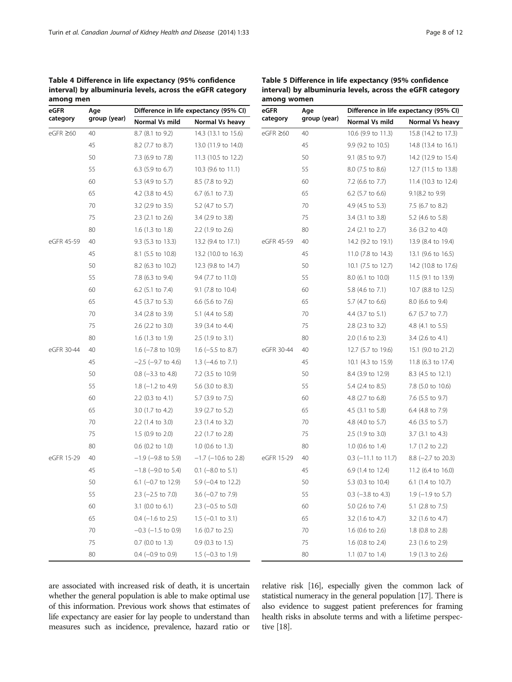| eGFR          | Age          | Difference in life expectancy (95% CI) | eGFR                         | Age           | Difference in life expectancy (95% CI) |                                                                                                                                                                                                                                                                                                                                                                                                                                                                                                                                                                                                                                                                                                                               |                     |  |
|---------------|--------------|----------------------------------------|------------------------------|---------------|----------------------------------------|-------------------------------------------------------------------------------------------------------------------------------------------------------------------------------------------------------------------------------------------------------------------------------------------------------------------------------------------------------------------------------------------------------------------------------------------------------------------------------------------------------------------------------------------------------------------------------------------------------------------------------------------------------------------------------------------------------------------------------|---------------------|--|
| category      | group (year) | Normal Vs mild                         | Normal Vs heavy              | category      | group (year)                           | Normal Vs mild                                                                                                                                                                                                                                                                                                                                                                                                                                                                                                                                                                                                                                                                                                                | Normal Vs heavy     |  |
| $eGFR \ge 60$ | 40           | 8.7 (8.1 to 9.2)                       | 14.3 (13.1 to 15.6)          | $eGFR \ge 60$ | 40                                     | 10.6 (9.9 to 11.3)<br>9.9 (9.2 to 10.5)<br>9.1 (8.5 to 9.7)<br>8.0 (7.5 to 8.6)<br>7.2 (6.6 to 7.7)<br>6.2 (5.7 to 6.6)<br>4.9 (4.5 to 5.3)<br>3.4 (3.1 to 3.8)<br>2.4 (2.1 to 2.7)<br>14.2 (9.2 to 19.1)<br>11.0 (7.8 to 14.3)<br>10.1 (7.5 to 12.7)<br>8.0 (6.1 to 10.0)<br>5.8 (4.6 to 7.1)<br>5.7 (4.7 to 6.6)<br>4.4 (3.7 to 5.1)<br>2.8 (2.3 to 3.2)<br>2.0 (1.6 to 2.3)<br>12.7 (5.7 to 19.6)<br>10.1 (4.3 to 15.9)<br>8.4 (3.9 to 12.9)<br>5.4 (2.4 to 8.5)<br>4.8 (2.7 to 6.8)<br>4.5 (3.1 to 5.8)<br>4.8 (4.0 to 5.7)<br>2.5 (1.9 to 3.0)<br>1.0 (0.6 to 1.4)<br>$0.3$ (-11.1 to 11.7)<br>6.9 (1.4 to 12.4)<br>5.3 (0.3 to 10.4)<br>$0.3$ (-3.8 to 4.3)<br>5.0 (2.6 to 7.4)<br>3.2 (1.6 to 4.7)<br>1.6 (0.6 to 2.6) | 15.8 (14.2 to 17.3) |  |
|               | 45           | 8.2 (7.7 to 8.7)                       | 13.0 (11.9 to 14.0)          |               | 45                                     |                                                                                                                                                                                                                                                                                                                                                                                                                                                                                                                                                                                                                                                                                                                               | 14.8 (13.4 to 16.1) |  |
|               | 50           | 7.3 (6.9 to 7.8)                       | 11.3 (10.5 to 12.2)          |               | 50                                     |                                                                                                                                                                                                                                                                                                                                                                                                                                                                                                                                                                                                                                                                                                                               | 14.2 (12.9 to 15.4) |  |
|               | 55           | 6.3 (5.9 to 6.7)                       | 10.3 (9.6 to 11.1)           |               | 55                                     |                                                                                                                                                                                                                                                                                                                                                                                                                                                                                                                                                                                                                                                                                                                               | 12.7 (11.5 to 13.8) |  |
|               | 60           | 5.3 (4.9 to 5.7)                       | 8.5 (7.8 to 9.2)             |               | 60                                     |                                                                                                                                                                                                                                                                                                                                                                                                                                                                                                                                                                                                                                                                                                                               | 11.4 (10.3 to 12.4) |  |
|               | 65           | 4.2 (3.8 to 4.5)                       | 6.7 (6.1 to 7.3)             |               | 65                                     |                                                                                                                                                                                                                                                                                                                                                                                                                                                                                                                                                                                                                                                                                                                               | 9.1(8.2 to 9.9)     |  |
|               | $70\,$       | 3.2 (2.9 to 3.5)                       | 5.2 (4.7 to 5.7)             |               | 70                                     |                                                                                                                                                                                                                                                                                                                                                                                                                                                                                                                                                                                                                                                                                                                               | 7.5 (6.7 to 8.2)    |  |
|               | 75           | 2.3 (2.1 to 2.6)                       | 3.4 (2.9 to 3.8)             |               | 75                                     |                                                                                                                                                                                                                                                                                                                                                                                                                                                                                                                                                                                                                                                                                                                               | 5.2 (4.6 to 5.8)    |  |
|               | 80           | 1.6 $(1.3 \text{ to } 1.8)$            | 2.2 (1.9 to 2.6)             |               | 80                                     |                                                                                                                                                                                                                                                                                                                                                                                                                                                                                                                                                                                                                                                                                                                               | 3.6 (3.2 to 4.0)    |  |
| eGFR 45-59    | 40           | 9.3 (5.3 to 13.3)                      | 13.2 (9.4 to 17.1)           | eGFR 45-59    | 40                                     |                                                                                                                                                                                                                                                                                                                                                                                                                                                                                                                                                                                                                                                                                                                               | 13.9 (8.4 to 19.4)  |  |
|               | 45           | 8.1 (5.5 to 10.8)                      | 13.2 (10.0 to 16.3)          |               | 45                                     |                                                                                                                                                                                                                                                                                                                                                                                                                                                                                                                                                                                                                                                                                                                               | 13.1 (9.6 to 16.5)  |  |
|               | 50           | 8.2 (6.3 to 10.2)                      | 12.3 (9.8 to 14.7)           |               | 50                                     |                                                                                                                                                                                                                                                                                                                                                                                                                                                                                                                                                                                                                                                                                                                               | 14.2 (10.8 to 17.6) |  |
|               | 55           | 7.8 (6.3 to 9.4)                       | 9.4 (7.7 to 11.0)            |               | 55                                     |                                                                                                                                                                                                                                                                                                                                                                                                                                                                                                                                                                                                                                                                                                                               | 11.5 (9.1 to 13.9)  |  |
|               | 60           | 6.2 (5.1 to 7.4)                       | 9.1 (7.8 to 10.4)            |               | 60                                     |                                                                                                                                                                                                                                                                                                                                                                                                                                                                                                                                                                                                                                                                                                                               | 10.7 (8.8 to 12.5)  |  |
|               | 65           | 4.5 (3.7 to 5.3)                       | 6.6 (5.6 to 7.6)             |               | 65                                     |                                                                                                                                                                                                                                                                                                                                                                                                                                                                                                                                                                                                                                                                                                                               | 8.0 (6.6 to 9.4)    |  |
|               | 70           | 3.4 (2.8 to 3.9)                       | 5.1 (4.4 to 5.8)             |               | 70                                     |                                                                                                                                                                                                                                                                                                                                                                                                                                                                                                                                                                                                                                                                                                                               | 6.7 (5.7 to 7.7)    |  |
|               | 75           | 2.6 (2.2 to 3.0)                       | 3.9 (3.4 to 4.4)             |               | 75                                     |                                                                                                                                                                                                                                                                                                                                                                                                                                                                                                                                                                                                                                                                                                                               | 4.8 (4.1 to 5.5)    |  |
|               | 80           | 1.6 $(1.3 \text{ to } 1.9)$            | $2.5$ (1.9 to 3.1)           |               | 80                                     |                                                                                                                                                                                                                                                                                                                                                                                                                                                                                                                                                                                                                                                                                                                               | 3.4 (2.6 to 4.1)    |  |
| eGFR 30-44    | 40           | 1.6 $(-7.8 \text{ to } 10.9)$          | 1.6 $(-5.5 \text{ to } 8.7)$ | eGFR 30-44    | 40                                     |                                                                                                                                                                                                                                                                                                                                                                                                                                                                                                                                                                                                                                                                                                                               | 15.1 (9.0 to 21.2)  |  |
|               | 45           | $-2.5$ ( $-9.7$ to 4.6)                | 1.3 $(-4.6 \text{ to } 7.1)$ |               | 45                                     |                                                                                                                                                                                                                                                                                                                                                                                                                                                                                                                                                                                                                                                                                                                               | 11.8 (6.3 to 17.4)  |  |
|               | 50           | $0.8$ (-3.3 to 4.8)                    | 7.2 (3.5 to 10.9)            |               | 50                                     |                                                                                                                                                                                                                                                                                                                                                                                                                                                                                                                                                                                                                                                                                                                               | 8.3 (4.5 to 12.1)   |  |
|               | 55           | $1.8$ (-1.2 to 4.9)                    | 5.6 (3.0 to 8.3)             |               | 55                                     |                                                                                                                                                                                                                                                                                                                                                                                                                                                                                                                                                                                                                                                                                                                               | 7.8 (5.0 to 10.6)   |  |
|               | 60           | $2.2$ (0.3 to 4.1)                     | 5.7 (3.9 to 7.5)             |               | 60                                     |                                                                                                                                                                                                                                                                                                                                                                                                                                                                                                                                                                                                                                                                                                                               | 7.6 (5.5 to 9.7)    |  |
|               | 65           | 3.0 (1.7 to 4.2)                       | 3.9 (2.7 to 5.2)             |               | 65                                     |                                                                                                                                                                                                                                                                                                                                                                                                                                                                                                                                                                                                                                                                                                                               | 6.4 (4.8 to 7.9)    |  |
|               | 70           | 2.2 (1.4 to 3.0)                       | 2.3 (1.4 to 3.2)             |               | 70                                     |                                                                                                                                                                                                                                                                                                                                                                                                                                                                                                                                                                                                                                                                                                                               | 4.6 (3.5 to 5.7)    |  |
|               | 75           | 1.5 (0.9 to 2.0)                       | 2.2 (1.7 to 2.8)             |               | 75                                     |                                                                                                                                                                                                                                                                                                                                                                                                                                                                                                                                                                                                                                                                                                                               | 3.7 (3.1 to 4.3)    |  |
|               | 80           | $0.6$ (0.2 to 1.0)                     | $1.0$ (0.6 to 1.3)           |               | 80                                     |                                                                                                                                                                                                                                                                                                                                                                                                                                                                                                                                                                                                                                                                                                                               | 1.7 (1.2 to 2.2)    |  |
| eGFR 15-29    | 40           | $-1.9$ (-9.8 to 5.9)                   | $-1.7$ (-10.6 to 2.8)        | eGFR 15-29    | 40                                     |                                                                                                                                                                                                                                                                                                                                                                                                                                                                                                                                                                                                                                                                                                                               | 8.8 (-2.7 to 20.3)  |  |
|               | 45           | $-1.8$ ( $-9.0$ to 5.4)                | $0.1$ (-8.0 to 5.1)          |               | 45                                     |                                                                                                                                                                                                                                                                                                                                                                                                                                                                                                                                                                                                                                                                                                                               | 11.2 (6.4 to 16.0)  |  |
|               | 50           | 6.1 $(-0.7$ to 12.9)                   | $5.9$ (-0.4 to 12.2)         |               | 50                                     |                                                                                                                                                                                                                                                                                                                                                                                                                                                                                                                                                                                                                                                                                                                               | 6.1 (1.4 to 10.7)   |  |
|               | 55           | $2.3$ (-2.5 to 7.0)                    | $3.6$ (-0.7 to 7.9)          |               | 55                                     |                                                                                                                                                                                                                                                                                                                                                                                                                                                                                                                                                                                                                                                                                                                               | $1.9$ (-1.9 to 5.7) |  |
|               | 60           | 3.1 (0.0 to 6.1)                       | $2.3$ (-0.5 to 5.0)          |               | 60                                     |                                                                                                                                                                                                                                                                                                                                                                                                                                                                                                                                                                                                                                                                                                                               | 5.1 (2.8 to 7.5)    |  |
|               | 65           | $0.4$ (-1.6 to 2.5)                    | $1.5$ (-0.1 to 3.1)          |               | 65                                     |                                                                                                                                                                                                                                                                                                                                                                                                                                                                                                                                                                                                                                                                                                                               | 3.2 (1.6 to 4.7)    |  |
|               | 70           | $-0.3$ ( $-1.5$ to 0.9)                | 1.6 (0.7 to $2.5$ )          |               | 70                                     |                                                                                                                                                                                                                                                                                                                                                                                                                                                                                                                                                                                                                                                                                                                               | 1.8 (0.8 to 2.8)    |  |
|               | 75           | $0.7$ (0.0 to 1.3)                     | $0.9$ (0.3 to 1.5)           |               | 75                                     | 1.6 (0.8 to 2.4)                                                                                                                                                                                                                                                                                                                                                                                                                                                                                                                                                                                                                                                                                                              | 2.3 (1.6 to 2.9)    |  |
|               | 80           | $0.4$ (-0.9 to 0.9)                    | $1.5$ (-0.3 to 1.9)          |               | 80                                     | 1.1 (0.7 to 1.4)                                                                                                                                                                                                                                                                                                                                                                                                                                                                                                                                                                                                                                                                                                              | 1.9 (1.3 to 2.6)    |  |

<span id="page-7-0"></span>Table 4 Difference in life expectancy (95% confidence interval) by albuminuria levels, across the eGFR category among men

Table 5 Difference in life expectancy (95% confidence interval) by albuminuria levels, across the eGFR category among women

are associated with increased risk of death, it is uncertain whether the general population is able to make optimal use of this information. Previous work shows that estimates of life expectancy are easier for lay people to understand than measures such as incidence, prevalence, hazard ratio or

relative risk [\[16\]](#page-11-0), especially given the common lack of statistical numeracy in the general population [\[17\]](#page-11-0). There is also evidence to suggest patient preferences for framing health risks in absolute terms and with a lifetime perspective [[18](#page-11-0)].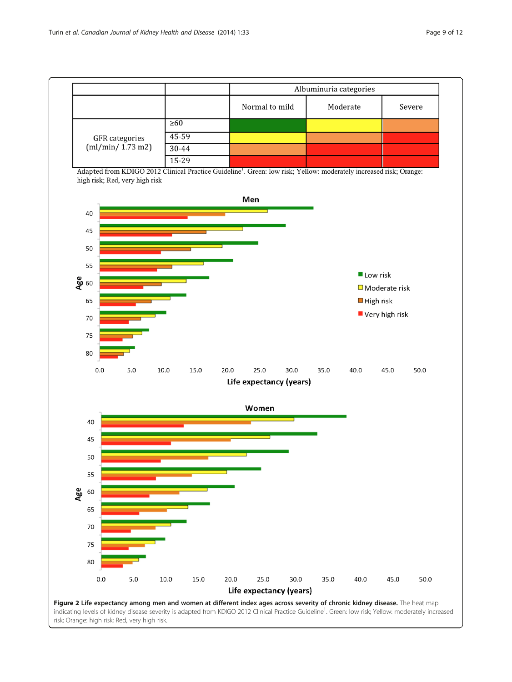<span id="page-8-0"></span>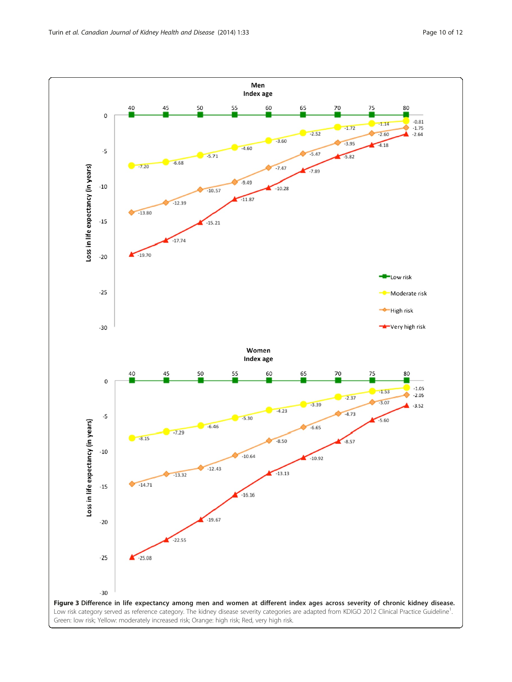<span id="page-9-0"></span>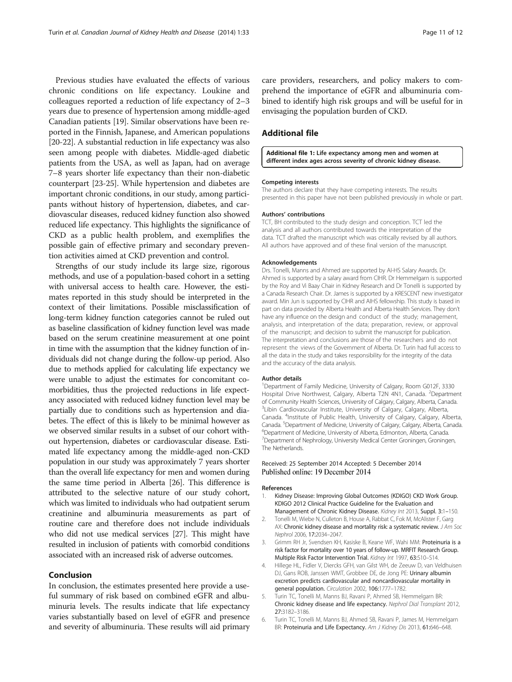<span id="page-10-0"></span>Previous studies have evaluated the effects of various chronic conditions on life expectancy. Loukine and colleagues reported a reduction of life expectancy of 2–3 years due to presence of hypertension among middle-aged Canadian patients [[19](#page-11-0)]. Similar observations have been reported in the Finnish, Japanese, and American populations [[20](#page-11-0)-[22\]](#page-11-0). A substantial reduction in life expectancy was also seen among people with diabetes. Middle-aged diabetic patients from the USA, as well as Japan, had on average 7–8 years shorter life expectancy than their non-diabetic counterpart [\[23-25\]](#page-11-0). While hypertension and diabetes are important chronic conditions, in our study, among participants without history of hypertension, diabetes, and cardiovascular diseases, reduced kidney function also showed reduced life expectancy. This highlights the significance of CKD as a public health problem, and exemplifies the possible gain of effective primary and secondary prevention activities aimed at CKD prevention and control.

Strengths of our study include its large size, rigorous methods, and use of a population-based cohort in a setting with universal access to health care. However, the estimates reported in this study should be interpreted in the context of their limitations. Possible misclassification of long-term kidney function categories cannot be ruled out as baseline classification of kidney function level was made based on the serum creatinine measurement at one point in time with the assumption that the kidney function of individuals did not change during the follow-up period. Also due to methods applied for calculating life expectancy we were unable to adjust the estimates for concomitant comorbidities, thus the projected reductions in life expectancy associated with reduced kidney function level may be partially due to conditions such as hypertension and diabetes. The effect of this is likely to be minimal however as we observed similar results in a subset of our cohort without hypertension, diabetes or cardiovascular disease. Estimated life expectancy among the middle-aged non-CKD population in our study was approximately 7 years shorter than the overall life expectancy for men and women during the same time period in Alberta [[26](#page-11-0)]. This difference is attributed to the selective nature of our study cohort, which was limited to individuals who had outpatient serum creatinine and albuminuria measurements as part of routine care and therefore does not include individuals who did not use medical services [[27](#page-11-0)]. This might have resulted in inclusion of patients with comorbid conditions associated with an increased risk of adverse outcomes.

## Conclusion

In conclusion, the estimates presented here provide a useful summary of risk based on combined eGFR and albuminuria levels. The results indicate that life expectancy varies substantially based on level of eGFR and presence and severity of albuminuria. These results will aid primary care providers, researchers, and policy makers to comprehend the importance of eGFR and albuminuria combined to identify high risk groups and will be useful for in envisaging the population burden of CKD.

## Additional file

[Additional file 1:](http://www.cjkhd.org/content/supplementary/s40697-014-0033-6-s1.doc) Life expectancy among men and women at different index ages across severity of chronic kidney disease.

#### Competing interests

The authors declare that they have competing interests. The results presented in this paper have not been published previously in whole or part.

#### Authors' contributions

TCT, BH contributed to the study design and conception. TCT led the analysis and all authors contributed towards the interpretation of the data. TCT drafted the manuscript which was critically revised by all authors. All authors have approved and of these final version of the manuscript.

#### Acknowledgements

Drs. Tonelli, Manns and Ahmed are supported by AI-HS Salary Awards. Dr. Ahmed is supported by a salary award from CIHR. Dr Hemmelgarn is supported by the Roy and Vi Baay Chair in Kidney Research and Dr Tonelli is supported by a Canada Research Chair. Dr. James is supported by a KRESCENT new investigator award. Min Jun is supported by CIHR and AIHS fellowship. This study is based in part on data provided by Alberta Health and Alberta Health Services. They don't have any influence on the design and conduct of the study; management, analysis, and interpretation of the data; preparation, review, or approval of the manuscript; and decision to submit the manuscript for publication. The interpretation and conclusions are those of the researchers and do not represent the views of the Government of Alberta. Dr. Turin had full access to all the data in the study and takes responsibility for the integrity of the data and the accuracy of the data analysis.

#### Author details

<sup>1</sup>Department of Family Medicine, University of Calgary, Room G012F, 3330 Hospital Drive Northwest, Calgary, Alberta T2N 4N1, Canada. <sup>2</sup>Department of Community Health Sciences, University of Calgary, Calgary, Alberta, Canada. <sup>3</sup>Libin Cardiovascular Institute, University of Calgary, Calgary, Alberta, Canada. <sup>4</sup> Institute of Public Health, University of Calgary, Calgary, Alberta, Canada. <sup>5</sup> Department of Medicine, University of Calgary, Calgary, Alberta, Canada. <sup>5</sup> Department of Medicine, University of Alberta, Canada. Department of Medicine, University of Alberta, Edmonton, Alberta, Canada. <sup>7</sup>Department of Nephrology, University Medical Center Groningen, Groningen, The Netherlands.

#### Received: 25 September 2014 Accepted: 5 December 2014 Published online: 19 December 2014

#### References

- 1. Kidney Disease: Improving Global Outcomes (KDIGO) CKD Work Group. KDIGO 2012 Clinical Practice Guideline for the Evaluation and Management of Chronic Kidney Disease. Kidney Int 2013, Suppl. 3:1–150.
- 2. Tonelli M, Wiebe N, Culleton B, House A, Rabbat C, Fok M, McAlister F, Garg AX: Chronic kidney disease and mortality risk: a systematic review. J Am Soc Nephrol 2006, 17:2034–2047.
- 3. Grimm RH Jr, Svendsen KH, Kasiske B, Keane WF, Wahi MM: Proteinuria is a risk factor for mortality over 10 years of follow-up. MRFIT Research Group. Multiple Risk Factor Intervention Trial. Kidney Int 1997, 63:S10–S14.
- 4. Hillege HL, Fidler V, Diercks GFH, van Gilst WH, de Zeeuw D, van Veldhuisen DJ, Gans ROB, Janssen WMT, Grobbee DE, de Jong PE: Urinary albumin excretion predicts cardiovascular and noncardiovascular mortality in general population. Circulation 2002, 106:1777–1782.
- 5. Turin TC, Tonelli M, Manns BJ, Ravani P, Ahmed SB, Hemmelgarn BR: Chronic kidney disease and life expectancy. Nephrol Dial Transplant 2012, 27:3182–3186.
- 6. Turin TC, Tonelli M, Manns BJ, Ahmed SB, Ravani P, James M, Hemmelgarn BR: Proteinuria and Life Expectancy. Am J Kidney Dis 2013, 61:646-648.